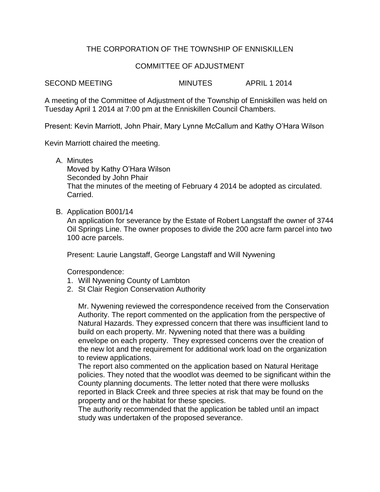## THE CORPORATION OF THE TOWNSHIP OF ENNISKILLEN

## COMMITTEE OF ADJUSTMENT

SECOND MEETING MINUTES APRIL 1 2014

A meeting of the Committee of Adjustment of the Township of Enniskillen was held on Tuesday April 1 2014 at 7:00 pm at the Enniskillen Council Chambers.

Present: Kevin Marriott, John Phair, Mary Lynne McCallum and Kathy O'Hara Wilson

Kevin Marriott chaired the meeting.

A. Minutes

Moved by Kathy O'Hara Wilson Seconded by John Phair That the minutes of the meeting of February 4 2014 be adopted as circulated. Carried.

B. Application B001/14

An application for severance by the Estate of Robert Langstaff the owner of 3744 Oil Springs Line. The owner proposes to divide the 200 acre farm parcel into two 100 acre parcels.

Present: Laurie Langstaff, George Langstaff and Will Nywening

Correspondence:

- 1. Will Nywening County of Lambton
- 2. St Clair Region Conservation Authority

Mr. Nywening reviewed the correspondence received from the Conservation Authority. The report commented on the application from the perspective of Natural Hazards. They expressed concern that there was insufficient land to build on each property. Mr. Nywening noted that there was a building envelope on each property. They expressed concerns over the creation of the new lot and the requirement for additional work load on the organization to review applications.

The report also commented on the application based on Natural Heritage policies. They noted that the woodlot was deemed to be significant within the County planning documents. The letter noted that there were mollusks reported in Black Creek and three species at risk that may be found on the property and or the habitat for these species.

The authority recommended that the application be tabled until an impact study was undertaken of the proposed severance.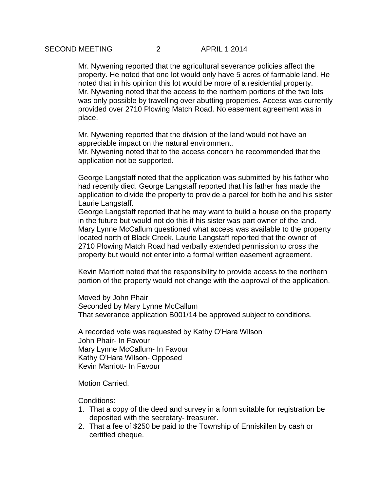Mr. Nywening reported that the agricultural severance policies affect the property. He noted that one lot would only have 5 acres of farmable land. He noted that in his opinion this lot would be more of a residential property. Mr. Nywening noted that the access to the northern portions of the two lots was only possible by travelling over abutting properties. Access was currently provided over 2710 Plowing Match Road. No easement agreement was in place.

Mr. Nywening reported that the division of the land would not have an appreciable impact on the natural environment.

Mr. Nywening noted that to the access concern he recommended that the application not be supported.

George Langstaff noted that the application was submitted by his father who had recently died. George Langstaff reported that his father has made the application to divide the property to provide a parcel for both he and his sister Laurie Langstaff.

George Langstaff reported that he may want to build a house on the property in the future but would not do this if his sister was part owner of the land. Mary Lynne McCallum questioned what access was available to the property located north of Black Creek. Laurie Langstaff reported that the owner of 2710 Plowing Match Road had verbally extended permission to cross the property but would not enter into a formal written easement agreement.

Kevin Marriott noted that the responsibility to provide access to the northern portion of the property would not change with the approval of the application.

Moved by John Phair Seconded by Mary Lynne McCallum That severance application B001/14 be approved subject to conditions.

A recorded vote was requested by Kathy O'Hara Wilson John Phair- In Favour Mary Lynne McCallum- In Favour Kathy O'Hara Wilson- Opposed Kevin Marriott- In Favour

Motion Carried.

Conditions:

- 1. That a copy of the deed and survey in a form suitable for registration be deposited with the secretary- treasurer.
- 2. That a fee of \$250 be paid to the Township of Enniskillen by cash or certified cheque.